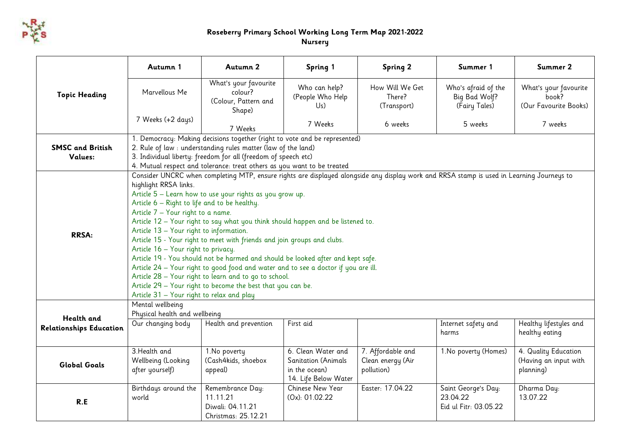

## **Roseberry Primary School Working Long Term Map 2021-2022 Nursery**

|                                    | Autumn 1                                                                                                                                                                                                                                  | Autumn 2                                                                                                                                                                                                                                                                                                                                                                                                                                                                                                                                                                                                                                                             | Spring 1                                                                                  | <b>Spring 2</b>                                      | Summer 1                                                 | Summer 2                                                   |
|------------------------------------|-------------------------------------------------------------------------------------------------------------------------------------------------------------------------------------------------------------------------------------------|----------------------------------------------------------------------------------------------------------------------------------------------------------------------------------------------------------------------------------------------------------------------------------------------------------------------------------------------------------------------------------------------------------------------------------------------------------------------------------------------------------------------------------------------------------------------------------------------------------------------------------------------------------------------|-------------------------------------------------------------------------------------------|------------------------------------------------------|----------------------------------------------------------|------------------------------------------------------------|
| <b>Topic Heading</b>               | Marvellous Me                                                                                                                                                                                                                             | What's your favourite<br>colour?<br>(Colour, Pattern and<br>Shape)                                                                                                                                                                                                                                                                                                                                                                                                                                                                                                                                                                                                   | Who can help?<br>(People Who Help<br>Us)                                                  | How Will We Get<br>There?<br>(Transport)             | Who's afraid of the<br>Big Bad Wolf?<br>(Fairy Tales)    | What's your favourite<br>book?<br>(Our Favourite Books)    |
|                                    | 7 Weeks (+2 days)                                                                                                                                                                                                                         | 7 Weeks                                                                                                                                                                                                                                                                                                                                                                                                                                                                                                                                                                                                                                                              | 7 Weeks                                                                                   | 6 weeks                                              | 5 weeks                                                  | 7 weeks                                                    |
| <b>SMSC and British</b><br>Values: |                                                                                                                                                                                                                                           | 1. Democracy: Making decisions together (right to vote and be represented)<br>2. Rule of law : understanding rules matter (law of the land)<br>3. Individual liberty: freedom for all (freedom of speech etc)<br>4. Mutual respect and tolerance: treat others as you want to be treated                                                                                                                                                                                                                                                                                                                                                                             |                                                                                           |                                                      |                                                          |                                                            |
| <b>RRSA:</b>                       | highlight RRSA links.<br>Article 6 - Right to life and to be healthy.<br>Article 7 - Your right to a name.<br>Article 13 - Your right to information.<br>Article 16 - Your right to privacy.<br>Article 31 - Your right to relax and play | Consider UNCRC when completing MTP, ensure rights are displayed alongside any display work and RRSA stamp is used in Learning Journeys to<br>Article 5 - Learn how to use your rights as you grow up.<br>Article 12 - Your right to say what you think should happen and be listened to.<br>Article 15 - Your right to meet with friends and join groups and clubs.<br>Article 19 - You should not be harmed and should be looked after and kept safe.<br>Article 24 - Your right to good food and water and to see a doctor if you are ill.<br>Article 28 - Your right to learn and to go to school.<br>Article 29 - Your right to become the best that you can be. |                                                                                           |                                                      |                                                          |                                                            |
| Health and                         | Mental wellbeing<br>Physical health and wellbeing                                                                                                                                                                                         |                                                                                                                                                                                                                                                                                                                                                                                                                                                                                                                                                                                                                                                                      |                                                                                           |                                                      |                                                          |                                                            |
| <b>Relationships Education</b>     | Our changing body                                                                                                                                                                                                                         | Health and prevention                                                                                                                                                                                                                                                                                                                                                                                                                                                                                                                                                                                                                                                | First aid                                                                                 |                                                      | Internet safety and<br>harms                             | Healthy lifestyles and<br>healthy eating                   |
| <b>Global Goals</b>                | 3. Health and<br>Wellbeing (Looking<br>after yourself)                                                                                                                                                                                    | 1.No poverty<br>(Cash4kids, shoebox<br>appeal)                                                                                                                                                                                                                                                                                                                                                                                                                                                                                                                                                                                                                       | 6. Clean Water and<br><b>Sanitation (Animals</b><br>in the ocean)<br>14. Life Below Water | 7. Affordable and<br>Clean energy (Air<br>pollution) | 1. No poverty (Homes)                                    | 4. Quality Education<br>(Having an input with<br>planning) |
| R.E                                | Birthdays around the<br>world                                                                                                                                                                                                             | Remembrance Day:<br>11.11.21<br>Diwali: 04.11.21<br>Christmas: 25.12.21                                                                                                                                                                                                                                                                                                                                                                                                                                                                                                                                                                                              | Chinese New Year<br>(Ox): 01.02.22                                                        | Easter: 17.04.22                                     | Saint George's Day:<br>23.04.22<br>Eid ul Fitr: 03.05.22 | Dharma Day:<br>13.07.22                                    |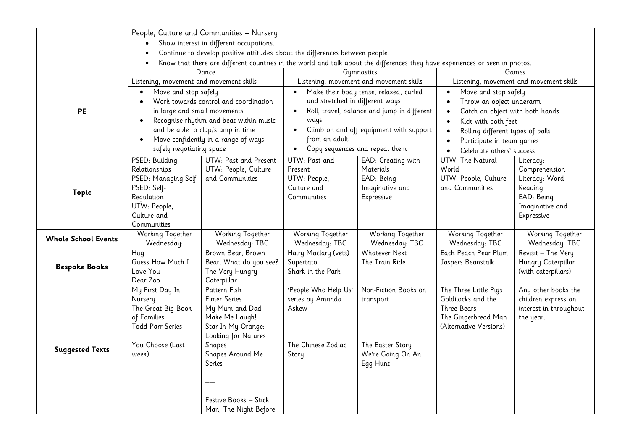|                            |                                         | People, Culture and Communities - Nursery                                                                                    |                                 |                                             |                                   |                                         |
|----------------------------|-----------------------------------------|------------------------------------------------------------------------------------------------------------------------------|---------------------------------|---------------------------------------------|-----------------------------------|-----------------------------------------|
|                            |                                         | Show interest in different occupations.                                                                                      |                                 |                                             |                                   |                                         |
|                            |                                         | Continue to develop positive attitudes about the differences between people.                                                 |                                 |                                             |                                   |                                         |
|                            |                                         | Know that there are different countries in the world and talk about the differences they have experiences or seen in photos. |                                 |                                             |                                   |                                         |
|                            | Dance                                   | Gymnastics                                                                                                                   | Games                           |                                             |                                   |                                         |
|                            | Listening, movement and movement skills |                                                                                                                              |                                 | Listening, movement and movement skills     |                                   | Listening, movement and movement skills |
|                            | Move and stop safely<br>$\bullet$       |                                                                                                                              | $\bullet$                       | Make their body tense, relaxed, curled      | Move and stop safely<br>$\bullet$ |                                         |
|                            |                                         | Work towards control and coordination                                                                                        | and stretched in different ways |                                             | Throw an object underarm          |                                         |
| <b>PE</b>                  | in large and small movements            |                                                                                                                              |                                 | Roll, travel, balance and jump in different | Catch an object with both hands   |                                         |
|                            |                                         | Recognise rhythm and beat within music                                                                                       | ways                            |                                             | Kick with both feet               |                                         |
|                            |                                         | and be able to clap/stamp in time                                                                                            | $\bullet$                       | Climb on and off equipment with support     | Rolling different types of balls  |                                         |
|                            |                                         | Move confidently in a range of ways,                                                                                         | from an adult                   |                                             | Participate in team games         |                                         |
|                            | safely negotiating space                |                                                                                                                              | $\bullet$                       | Copy sequences and repeat them              | Celebrate others' success         |                                         |
|                            | PSED: Building                          | UTW: Past and Present                                                                                                        | UTW: Past and                   | EAD: Creating with                          | UTW: The Natural                  | Literacy:                               |
|                            | Relationships                           | UTW: People, Culture                                                                                                         | Present                         | Materials                                   | World                             | Comprehension                           |
|                            | PSED: Managing Self                     | and Communities                                                                                                              | UTW: People,                    | EAD: Being                                  | UTW: People, Culture              | Literacy: Word                          |
|                            | PSED: Self-                             |                                                                                                                              | Culture and                     | Imaginative and                             | and Communities                   | Reading                                 |
| Topic                      | Regulation                              |                                                                                                                              | Communities                     | Expressive                                  |                                   | EAD: Being                              |
|                            | UTW: People,                            |                                                                                                                              |                                 |                                             |                                   | Imaginative and                         |
|                            | Culture and                             |                                                                                                                              |                                 |                                             |                                   | Expressive                              |
|                            | Communities                             |                                                                                                                              |                                 |                                             |                                   |                                         |
| <b>Whole School Events</b> | Working Together                        | <b>Working Together</b>                                                                                                      | Working Together                | <b>Working Together</b>                     | Working Together                  | Working Together                        |
|                            | Wednesday:                              | Wednesday: TBC                                                                                                               | Wednesday: TBC                  | Wednesday: TBC                              | Wednesday: TBC                    | Wednesday: TBC                          |
|                            | Hug                                     | Brown Bear, Brown                                                                                                            | Hairy Maclary (vets)            | <b>Whatever Next</b>                        | Each Peach Pear Plum              | Revisit - The Very                      |
| <b>Bespoke Books</b>       | Guess How Much I                        | Bear, What do you see?                                                                                                       | Supertato                       | The Train Ride                              | Jaspers Beanstalk                 | Hungry Caterpillar                      |
|                            | Love You                                | The Very Hungry                                                                                                              | Shark in the Park               |                                             |                                   | (with caterpillars)                     |
|                            | Dear Zoo                                | Caterpillar                                                                                                                  |                                 |                                             |                                   |                                         |
|                            | My First Day In                         | Pattern Fish                                                                                                                 | 'People Who Help Us'            | Non-Fiction Books on                        | The Three Little Pigs             | Any other books the                     |
|                            | Nursery                                 | <b>Elmer Series</b>                                                                                                          | series by Amanda                | transport                                   | Goldilocks and the                | children express an                     |
|                            | The Great Big Book                      | My Mum and Dad                                                                                                               | Askew                           |                                             | <b>Three Bears</b>                | interest in throughout                  |
|                            | of Families                             | Make Me Laugh!                                                                                                               |                                 |                                             | The Gingerbread Man               | the year.                               |
|                            | <b>Todd Parr Series</b>                 | Star In My Orange:                                                                                                           | -----                           |                                             | (Alternative Versions)            |                                         |
|                            |                                         | Looking for Natures                                                                                                          |                                 |                                             |                                   |                                         |
| <b>Suggested Texts</b>     | You Choose (Last                        | Shapes                                                                                                                       | The Chinese Zodiac              | The Easter Story                            |                                   |                                         |
|                            | week)                                   | Shapes Around Me                                                                                                             | Story                           | We're Going On An                           |                                   |                                         |
|                            |                                         | Series                                                                                                                       |                                 | Egg Hunt                                    |                                   |                                         |
|                            |                                         |                                                                                                                              |                                 |                                             |                                   |                                         |
|                            |                                         |                                                                                                                              |                                 |                                             |                                   |                                         |
|                            |                                         | Festive Books - Stick                                                                                                        |                                 |                                             |                                   |                                         |
|                            |                                         | Man, The Night Before                                                                                                        |                                 |                                             |                                   |                                         |
|                            |                                         |                                                                                                                              |                                 |                                             |                                   |                                         |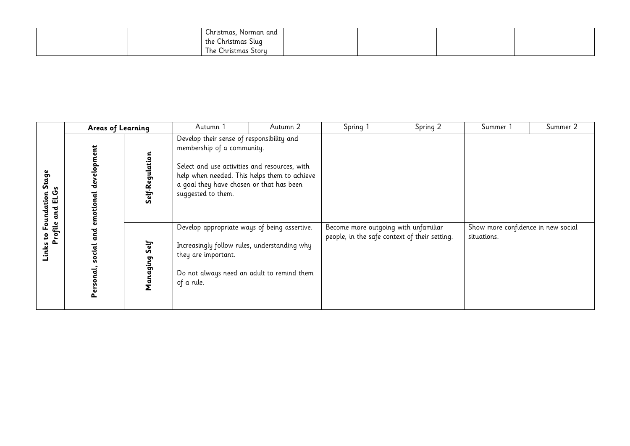| $\sim$<br>Christmas,<br>. Norman and |  |  |
|--------------------------------------|--|--|
| $\sim$<br>the Christmas Slug         |  |  |
| Christmas Story<br>The v             |  |  |

|                                                            | Areas of Learning                                      |                 | Autumn 1                                                                                                                                                                                                                                   | Autumn 2 | Spring 1                                                                              | Spring 2 | Summer 1                                          | Summer 2 |
|------------------------------------------------------------|--------------------------------------------------------|-----------------|--------------------------------------------------------------------------------------------------------------------------------------------------------------------------------------------------------------------------------------------|----------|---------------------------------------------------------------------------------------|----------|---------------------------------------------------|----------|
| Stage<br><b>Second</b><br>인<br>대<br>tion<br>Foundat<br>and | development<br>emotional                               | Self-Regulation | Develop their sense of responsibility and<br>membership of a community.<br>Select and use activities and resources, with<br>help when needed. This helps them to achieve<br>a goal they have chosen or that has been<br>suggested to them. |          |                                                                                       |          |                                                   |          |
| S<br>Links                                                 | Profile<br>ਫੂ<br>Self<br>social<br>naging<br>Personal, |                 | Develop appropriate ways of being assertive.<br>Increasingly follow rules, understanding why<br>they are important.<br>Do not always need an adult to remind them<br>of a rule.                                                            |          | Become more outgoing with unfamiliar<br>people, in the safe context of their setting. |          | Show more confidence in new social<br>situations. |          |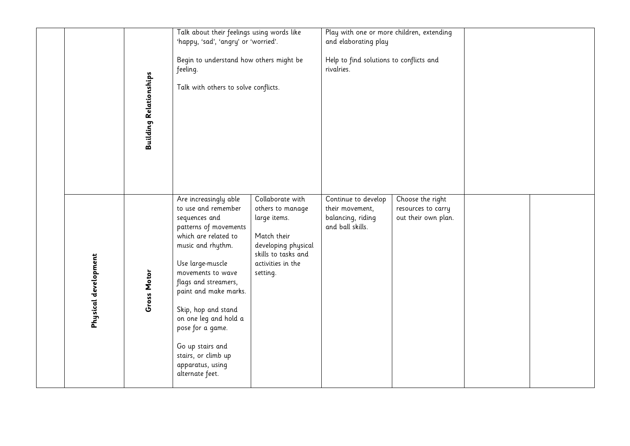|                      | <b>Building Relationships</b> | Talk about their feelings using words like<br>'happy, 'sad', 'angry' or 'worried'.<br>Begin to understand how others might be<br>feeling.<br>Talk with others to solve conflicts.                                                                                                                                                                                                   |                                                                                                                                                    | Play with one or more children, extending<br>and elaborating play<br>Help to find solutions to conflicts and<br>rivalries. |                                                               |  |
|----------------------|-------------------------------|-------------------------------------------------------------------------------------------------------------------------------------------------------------------------------------------------------------------------------------------------------------------------------------------------------------------------------------------------------------------------------------|----------------------------------------------------------------------------------------------------------------------------------------------------|----------------------------------------------------------------------------------------------------------------------------|---------------------------------------------------------------|--|
| Physical development | Gross Motor                   | Are increasingly able<br>to use and remember<br>sequences and<br>patterns of movements<br>which are related to<br>music and rhythm.<br>Use large-muscle<br>movements to wave<br>flags and streamers,<br>paint and make marks.<br>Skip, hop and stand<br>on one leg and hold a<br>pose for a game.<br>Go up stairs and<br>stairs, or climb up<br>apparatus, using<br>alternate feet. | Collaborate with<br>others to manage<br>large items.<br>Match their<br>developing physical<br>skills to tasks and<br>activities in the<br>setting. | Continue to develop<br>their movement,<br>balancing, riding<br>and ball skills.                                            | Choose the right<br>resources to carry<br>out their own plan. |  |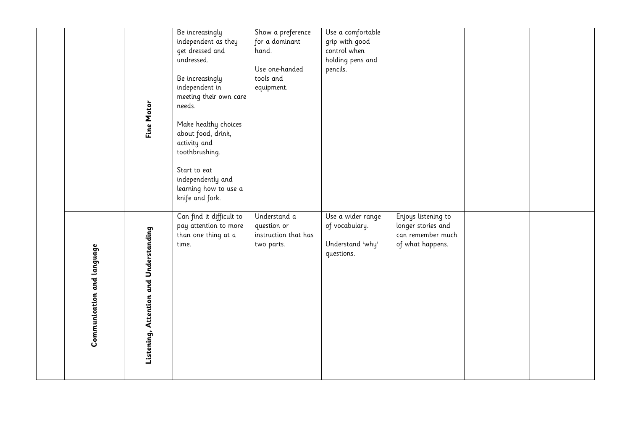|                            | Fine Motor                             | Be increasingly<br>independent as they<br>get dressed and<br>undressed.<br>Be increasingly<br>independent in<br>meeting their own care<br>needs.<br>Make healthy choices<br>about food, drink,<br>activity and<br>toothbrushing.<br>Start to eat<br>independently and<br>learning how to use a<br>knife and fork. | Show a preference<br>for a dominant<br>hand.<br>Use one-handed<br>tools and<br>equipment. | Use a comfortable<br>grip with good<br>control when<br>holding pens and<br>pencils. |                                                                                    |  |
|----------------------------|----------------------------------------|-------------------------------------------------------------------------------------------------------------------------------------------------------------------------------------------------------------------------------------------------------------------------------------------------------------------|-------------------------------------------------------------------------------------------|-------------------------------------------------------------------------------------|------------------------------------------------------------------------------------|--|
| Communication and language | Listening, Attention and Understanding | Can find it difficult to<br>pay attention to more<br>than one thing at a<br>time.                                                                                                                                                                                                                                 | Understand a<br>question or<br>instruction that has<br>two parts.                         | Use a wider range<br>of vocabulary.<br>Understand 'why'<br>questions.               | Enjoys listening to<br>longer stories and<br>can remember much<br>of what happens. |  |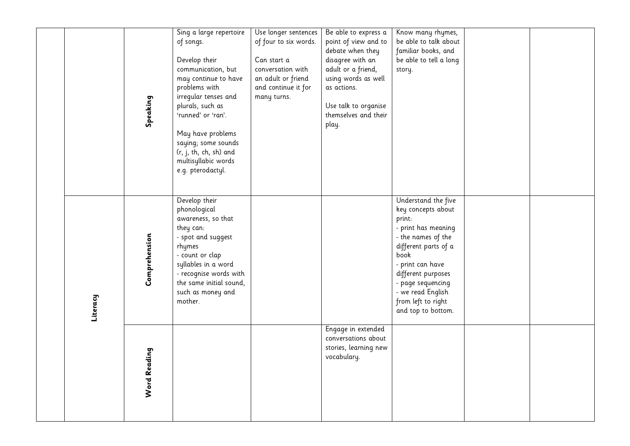|          | Speaking      | Sing a large repertoire<br>of songs.<br>Develop their<br>communication, but<br>may continue to have<br>problems with<br>irregular tenses and<br>plurals, such as<br>'runned' or 'ran'.<br>May have problems<br>saying; some sounds<br>(r, j, th, ch, sh) and<br>multisyllabic words<br>e.g. pterodactyl. | Use longer sentences<br>of four to six words.<br>Can start a<br>conversation with<br>an adult or friend<br>and continue it for<br>many turns. | Be able to express a<br>point of view and to<br>debate when they<br>disagree with an<br>adult or a friend,<br>using words as well<br>as actions.<br>Use talk to organise<br>themselves and their<br>play. | Know many rhymes,<br>be able to talk about<br>familiar books, and<br>be able to tell a long<br>story.                                                                                                                                                            |  |
|----------|---------------|----------------------------------------------------------------------------------------------------------------------------------------------------------------------------------------------------------------------------------------------------------------------------------------------------------|-----------------------------------------------------------------------------------------------------------------------------------------------|-----------------------------------------------------------------------------------------------------------------------------------------------------------------------------------------------------------|------------------------------------------------------------------------------------------------------------------------------------------------------------------------------------------------------------------------------------------------------------------|--|
| Literacy | Comprehension | Develop their<br>phonological<br>awareness, so that<br>they can:<br>- spot and suggest<br>rhymes<br>- count or clap<br>syllables in a word<br>- recognise words with<br>the same initial sound,<br>such as money and<br>mother.                                                                          |                                                                                                                                               |                                                                                                                                                                                                           | Understand the five<br>key concepts about<br>print:<br>- print has meaning<br>- the names of the<br>different parts of a<br>book<br>- print can have<br>different purposes<br>- page sequencing<br>- we read English<br>from left to right<br>and top to bottom. |  |
|          | Word Reading  |                                                                                                                                                                                                                                                                                                          |                                                                                                                                               | Engage in extended<br>conversations about<br>stories, learning new<br>vocabulary.                                                                                                                         |                                                                                                                                                                                                                                                                  |  |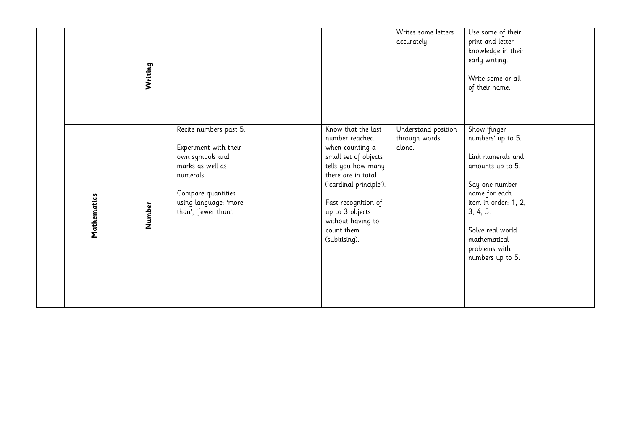|             | Writing | Recite numbers past 5.<br>Experiment with their                                                                         | Know that the last<br>number reached                                                                                                                                                                         | Writes some letters<br>accurately.<br>Understand position<br>through words<br>alone. | Use some of their<br>print and letter<br>knowledge in their<br>early writing.<br>Write some or all<br>of their name.<br>Show 'finger<br>numbers' up to 5.                             |  |
|-------------|---------|-------------------------------------------------------------------------------------------------------------------------|--------------------------------------------------------------------------------------------------------------------------------------------------------------------------------------------------------------|--------------------------------------------------------------------------------------|---------------------------------------------------------------------------------------------------------------------------------------------------------------------------------------|--|
| Mathematics | Number  | own symbols and<br>marks as well as<br>numerals.<br>Compare quantities<br>using language: 'more<br>than', 'fewer than'. | when counting a<br>small set of objects<br>tells you how many<br>there are in total<br>('cardinal principle').<br>Fast recognition of<br>up to 3 objects<br>without having to<br>count them<br>(subitising). |                                                                                      | Link numerals and<br>amounts up to 5.<br>Say one number<br>name for each<br>item in order: 1, 2,<br>3, 4, 5.<br>Solve real world<br>mathematical<br>problems with<br>numbers up to 5. |  |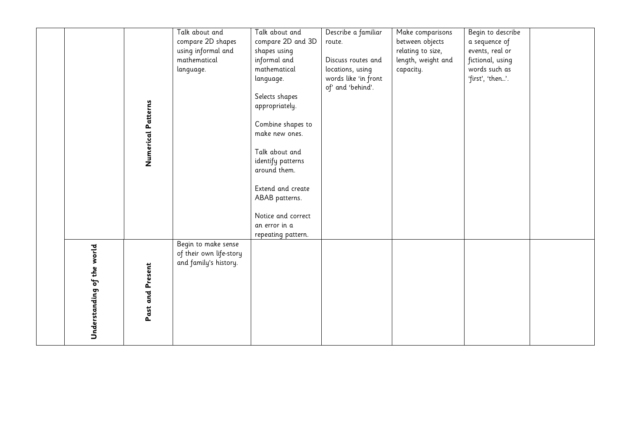|                            | Numerical Patterns | Talk about and<br>compare 2D shapes<br>using informal and<br>mathematical<br>language. | Talk about and<br>compare 2D and 3D<br>shapes using<br>informal and<br>mathematical<br>language.<br>Selects shapes<br>appropriately.<br>Combine shapes to<br>make new ones.<br>Talk about and | Describe a familiar<br>route.<br>Discuss routes and<br>locations, using<br>words like 'in front<br>of' and 'behind'. | Make comparisons<br>between objects<br>relating to size,<br>length, weight and<br>capacity. | Begin to describe<br>a sequence of<br>events, real or<br>fictional, using<br>words such as<br>'first', 'then'. |  |
|----------------------------|--------------------|----------------------------------------------------------------------------------------|-----------------------------------------------------------------------------------------------------------------------------------------------------------------------------------------------|----------------------------------------------------------------------------------------------------------------------|---------------------------------------------------------------------------------------------|----------------------------------------------------------------------------------------------------------------|--|
|                            |                    |                                                                                        | identify patterns<br>around them.<br>Extend and create<br>ABAB patterns.<br>Notice and correct<br>an error in a<br>repeating pattern.                                                         |                                                                                                                      |                                                                                             |                                                                                                                |  |
| Understanding of the world | Past and Present   | Begin to make sense<br>of their own life-story<br>and family's history.                |                                                                                                                                                                                               |                                                                                                                      |                                                                                             |                                                                                                                |  |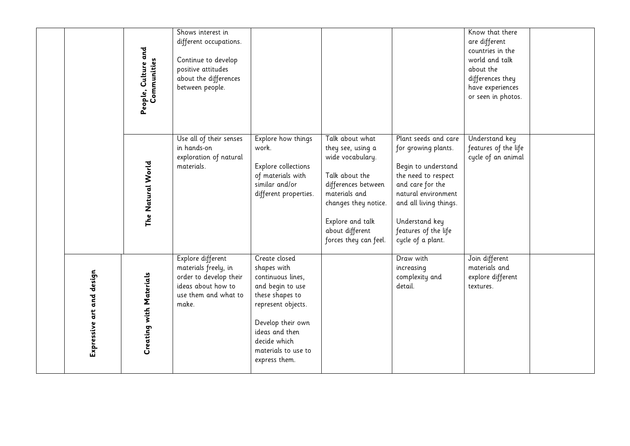|                           | People, Culture and<br>Communities | Shows interest in<br>different occupations.<br>Continue to develop<br>positive attitudes<br>about the differences<br>between people. |                                                                                                                                                                                                               |                                                                                                                                                                                                            |                                                                                                                                                                                                                               | Know that there<br>are different<br>countries in the<br>world and talk<br>about the<br>differences they<br>have experiences<br>or seen in photos. |  |
|---------------------------|------------------------------------|--------------------------------------------------------------------------------------------------------------------------------------|---------------------------------------------------------------------------------------------------------------------------------------------------------------------------------------------------------------|------------------------------------------------------------------------------------------------------------------------------------------------------------------------------------------------------------|-------------------------------------------------------------------------------------------------------------------------------------------------------------------------------------------------------------------------------|---------------------------------------------------------------------------------------------------------------------------------------------------|--|
|                           | The Natural World                  | Use all of their senses<br>in hands-on<br>exploration of natural<br>materials.                                                       | Explore how things<br>work.<br>Explore collections<br>of materials with<br>similar and/or<br>different properties.                                                                                            | Talk about what<br>they see, using a<br>wide vocabulary.<br>Talk about the<br>differences between<br>materials and<br>changes they notice.<br>Explore and talk<br>about different<br>forces they can feel. | Plant seeds and care<br>for growing plants.<br>Begin to understand<br>the need to respect<br>and care for the<br>natural environment<br>and all living things.<br>Understand key<br>features of the life<br>cycle of a plant. | Understand key<br>features of the life<br>cycle of an animal                                                                                      |  |
| Expressive art and design | Creating with Materials            | Explore different<br>materials freely, in<br>order to develop their<br>ideas about how to<br>use them and what to<br>make.           | Create closed<br>shapes with<br>continuous lines,<br>and begin to use<br>these shapes to<br>represent objects.<br>Develop their own<br>ideas and then<br>decide which<br>materials to use to<br>express them. |                                                                                                                                                                                                            | Draw with<br>increasing<br>complexity and<br>detail.                                                                                                                                                                          | Join different<br>materials and<br>explore different<br>textures.                                                                                 |  |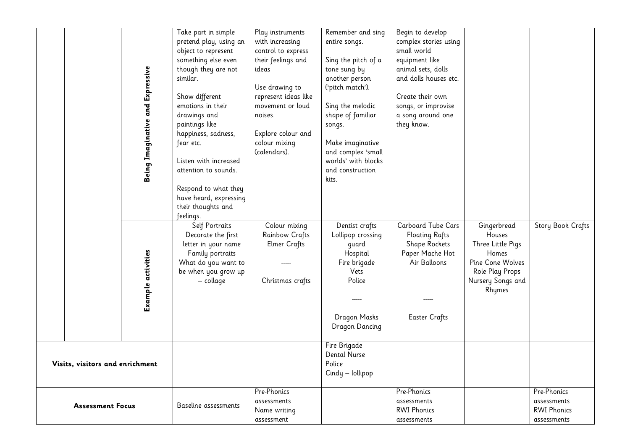|                                 | Being Imaginative and Expressive | Take part in simple<br>pretend play, using an<br>object to represent<br>something else even<br>though they are not<br>similar.<br>Show different<br>emotions in their<br>drawings and<br>paintings like<br>happiness, sadness,<br>fear etc.<br>Listen with increased<br>attention to sounds.<br>Respond to what they<br>have heard, expressing<br>their thoughts and<br>feelings. | Play instruments<br>with increasing<br>control to express<br>their feelings and<br>ideas<br>Use drawing to<br>represent ideas like<br>movement or loud<br>noises.<br>Explore colour and<br>colour mixing<br>(calendars). | Remember and sing<br>entire songs.<br>Sing the pitch of a<br>tone sung by<br>another person<br>('pitch match').<br>Sing the melodic<br>shape of familiar<br>songs.<br>Make imaginative<br>and complex 'small<br>worlds' with blocks<br>and construction<br>kits. | Begin to develop<br>complex stories using<br>small world<br>equipment like<br>animal sets, dolls<br>and dolls houses etc.<br>Create their own<br>songs, or improvise<br>a song around one<br>they know. |                                                                                                                           |                                                                 |
|---------------------------------|----------------------------------|-----------------------------------------------------------------------------------------------------------------------------------------------------------------------------------------------------------------------------------------------------------------------------------------------------------------------------------------------------------------------------------|--------------------------------------------------------------------------------------------------------------------------------------------------------------------------------------------------------------------------|------------------------------------------------------------------------------------------------------------------------------------------------------------------------------------------------------------------------------------------------------------------|---------------------------------------------------------------------------------------------------------------------------------------------------------------------------------------------------------|---------------------------------------------------------------------------------------------------------------------------|-----------------------------------------------------------------|
|                                 | Example activities               | Self Portraits<br>Decorate the first<br>letter in your name<br>Family portraits<br>What do you want to<br>be when you grow up<br>– collage                                                                                                                                                                                                                                        | Colour mixing<br>Rainbow Crafts<br><b>Elmer Crafts</b><br>Christmas crafts                                                                                                                                               | Dentist crafts<br>Lollipop crossing<br>guard<br>Hospital<br>Fire brigade<br>Vets<br>Police<br>Dragon Masks<br>Dragon Dancing                                                                                                                                     | Carboard Tube Cars<br><b>Floating Rafts</b><br>Shape Rockets<br>Paper Mache Hot<br>Air Balloons<br><b>Easter Crafts</b>                                                                                 | Gingerbread<br>Houses<br>Three Little Pigs<br>Homes<br>Pine Cone Wolves<br>Role Play Props<br>Nursery Songs and<br>Rhymes | Story Book Crafts                                               |
| Visits, visitors and enrichment |                                  |                                                                                                                                                                                                                                                                                                                                                                                   |                                                                                                                                                                                                                          | Fire Brigade<br><b>Dental Nurse</b><br>Police<br>Cindy - lollipop                                                                                                                                                                                                |                                                                                                                                                                                                         |                                                                                                                           |                                                                 |
| <b>Assessment Focus</b>         |                                  | Baseline assessments                                                                                                                                                                                                                                                                                                                                                              | Pre-Phonics<br>assessments<br>Name writing<br>assessment                                                                                                                                                                 |                                                                                                                                                                                                                                                                  | Pre-Phonics<br>assessments<br><b>RWI Phonics</b><br>assessments                                                                                                                                         |                                                                                                                           | Pre-Phonics<br>assessments<br><b>RWI Phonics</b><br>assessments |